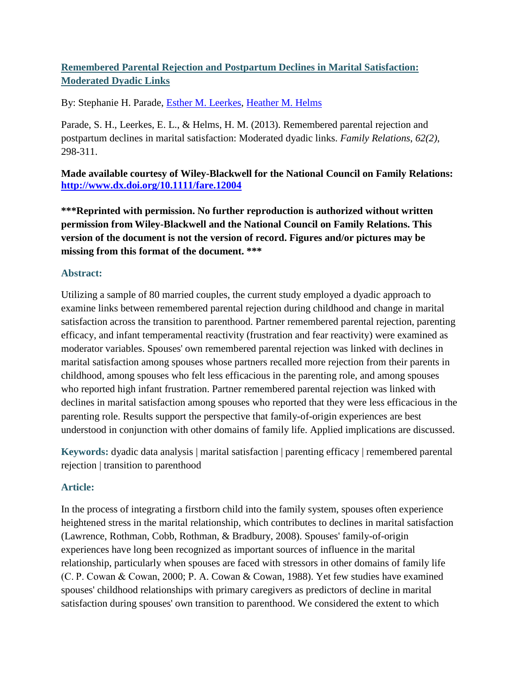# **Remembered Parental Rejection and Postpartum Declines in Marital Satisfaction: Moderated Dyadic Links**

By: Stephanie H. Parade, [Esther M. Leerkes,](http://libres.uncg.edu/ir/uncg/clist.aspx?id=1186) [Heather M. Helms](http://libres.uncg.edu/ir/uncg/clist.aspx?id=1216)

Parade, S. H., Leerkes, E. L., & Helms, H. M. (2013). Remembered parental rejection and postpartum declines in marital satisfaction: Moderated dyadic links. *Family Relations*, *62(2)*, 298-311.

**Made available courtesy of Wiley-Blackwell for the National Council on Family Relations: <http://www.dx.doi.org/10.1111/fare.12004>**

**\*\*\*Reprinted with permission. No further reproduction is authorized without written permission from Wiley-Blackwell and the National Council on Family Relations. This version of the document is not the version of record. Figures and/or pictures may be missing from this format of the document. \*\*\***

# **Abstract:**

Utilizing a sample of 80 married couples, the current study employed a dyadic approach to examine links between remembered parental rejection during childhood and change in marital satisfaction across the transition to parenthood. Partner remembered parental rejection, parenting efficacy, and infant temperamental reactivity (frustration and fear reactivity) were examined as moderator variables. Spouses' own remembered parental rejection was linked with declines in marital satisfaction among spouses whose partners recalled more rejection from their parents in childhood, among spouses who felt less efficacious in the parenting role, and among spouses who reported high infant frustration. Partner remembered parental rejection was linked with declines in marital satisfaction among spouses who reported that they were less efficacious in the parenting role. Results support the perspective that family-of-origin experiences are best understood in conjunction with other domains of family life. Applied implications are discussed.

**Keywords:** dyadic data analysis | marital satisfaction | parenting efficacy | remembered parental rejection | transition to parenthood

# **Article:**

In the process of integrating a firstborn child into the family system, spouses often experience heightened stress in the marital relationship, which contributes to declines in marital satisfaction (Lawrence, Rothman, Cobb, Rothman, & Bradbury, 2008). Spouses' family-of-origin experiences have long been recognized as important sources of influence in the marital relationship, particularly when spouses are faced with stressors in other domains of family life (C. P. Cowan & Cowan, 2000; P. A. Cowan & Cowan, 1988). Yet few studies have examined spouses' childhood relationships with primary caregivers as predictors of decline in marital satisfaction during spouses' own transition to parenthood. We considered the extent to which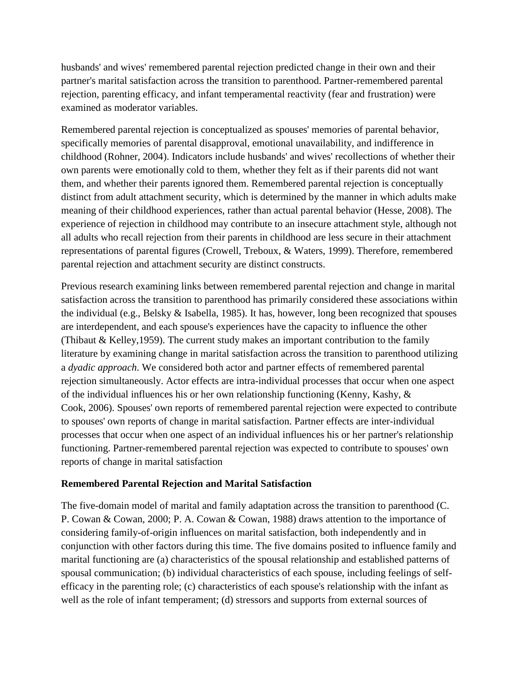husbands' and wives' remembered parental rejection predicted change in their own and their partner's marital satisfaction across the transition to parenthood. Partner-remembered parental rejection, parenting efficacy, and infant temperamental reactivity (fear and frustration) were examined as moderator variables.

Remembered parental rejection is conceptualized as spouses' memories of parental behavior, specifically memories of parental disapproval, emotional unavailability, and indifference in childhood (Rohner, 2004). Indicators include husbands' and wives' recollections of whether their own parents were emotionally cold to them, whether they felt as if their parents did not want them, and whether their parents ignored them. Remembered parental rejection is conceptually distinct from adult attachment security, which is determined by the manner in which adults make meaning of their childhood experiences, rather than actual parental behavior (Hesse, 2008). The experience of rejection in childhood may contribute to an insecure attachment style, although not all adults who recall rejection from their parents in childhood are less secure in their attachment representations of parental figures (Crowell, Treboux, & Waters, 1999). Therefore, remembered parental rejection and attachment security are distinct constructs.

Previous research examining links between remembered parental rejection and change in marital satisfaction across the transition to parenthood has primarily considered these associations within the individual (e.g., Belsky & Isabella, 1985). It has, however, long been recognized that spouses are interdependent, and each spouse's experiences have the capacity to influence the other (Thibaut  $\&$  Kelley, 1959). The current study makes an important contribution to the family literature by examining change in marital satisfaction across the transition to parenthood utilizing a *dyadic approach*. We considered both actor and partner effects of remembered parental rejection simultaneously. Actor effects are intra-individual processes that occur when one aspect of the individual influences his or her own relationship functioning (Kenny, Kashy,  $\&$ Cook, 2006). Spouses' own reports of remembered parental rejection were expected to contribute to spouses' own reports of change in marital satisfaction. Partner effects are inter-individual processes that occur when one aspect of an individual influences his or her partner's relationship functioning. Partner-remembered parental rejection was expected to contribute to spouses' own reports of change in marital satisfaction

# **Remembered Parental Rejection and Marital Satisfaction**

The five-domain model of marital and family adaptation across the transition to parenthood (C. P. Cowan & Cowan, 2000; P. A. Cowan & Cowan, 1988) draws attention to the importance of considering family-of-origin influences on marital satisfaction, both independently and in conjunction with other factors during this time. The five domains posited to influence family and marital functioning are (a) characteristics of the spousal relationship and established patterns of spousal communication; (b) individual characteristics of each spouse, including feelings of selfefficacy in the parenting role; (c) characteristics of each spouse's relationship with the infant as well as the role of infant temperament; (d) stressors and supports from external sources of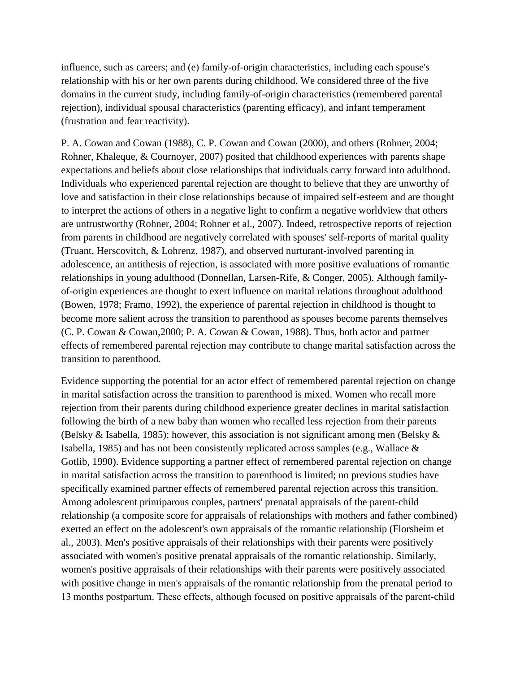influence, such as careers; and (e) family-of-origin characteristics, including each spouse's relationship with his or her own parents during childhood. We considered three of the five domains in the current study, including family-of-origin characteristics (remembered parental rejection), individual spousal characteristics (parenting efficacy), and infant temperament (frustration and fear reactivity).

P. A. Cowan and Cowan (1988), C. P. Cowan and Cowan (2000), and others (Rohner, 2004; Rohner, Khaleque, & Cournoyer, 2007) posited that childhood experiences with parents shape expectations and beliefs about close relationships that individuals carry forward into adulthood. Individuals who experienced parental rejection are thought to believe that they are unworthy of love and satisfaction in their close relationships because of impaired self-esteem and are thought to interpret the actions of others in a negative light to confirm a negative worldview that others are untrustworthy (Rohner, 2004; Rohner et al., 2007). Indeed, retrospective reports of rejection from parents in childhood are negatively correlated with spouses' self-reports of marital quality (Truant, Herscovitch, & Lohrenz, 1987), and observed nurturant-involved parenting in adolescence, an antithesis of rejection, is associated with more positive evaluations of romantic relationships in young adulthood (Donnellan, Larsen-Rife, & Conger, 2005). Although familyof-origin experiences are thought to exert influence on marital relations throughout adulthood (Bowen, 1978; Framo, 1992), the experience of parental rejection in childhood is thought to become more salient across the transition to parenthood as spouses become parents themselves (C. P. Cowan & Cowan,2000; P. A. Cowan & Cowan, 1988). Thus, both actor and partner effects of remembered parental rejection may contribute to change marital satisfaction across the transition to parenthood.

Evidence supporting the potential for an actor effect of remembered parental rejection on change in marital satisfaction across the transition to parenthood is mixed. Women who recall more rejection from their parents during childhood experience greater declines in marital satisfaction following the birth of a new baby than women who recalled less rejection from their parents (Belsky & Isabella, 1985); however, this association is not significant among men (Belsky & Isabella, 1985) and has not been consistently replicated across samples (e.g., Wallace & Gotlib, 1990). Evidence supporting a partner effect of remembered parental rejection on change in marital satisfaction across the transition to parenthood is limited; no previous studies have specifically examined partner effects of remembered parental rejection across this transition. Among adolescent primiparous couples, partners' prenatal appraisals of the parent-child relationship (a composite score for appraisals of relationships with mothers and father combined) exerted an effect on the adolescent's own appraisals of the romantic relationship (Florsheim et al., 2003). Men's positive appraisals of their relationships with their parents were positively associated with women's positive prenatal appraisals of the romantic relationship. Similarly, women's positive appraisals of their relationships with their parents were positively associated with positive change in men's appraisals of the romantic relationship from the prenatal period to 13 months postpartum. These effects, although focused on positive appraisals of the parent-child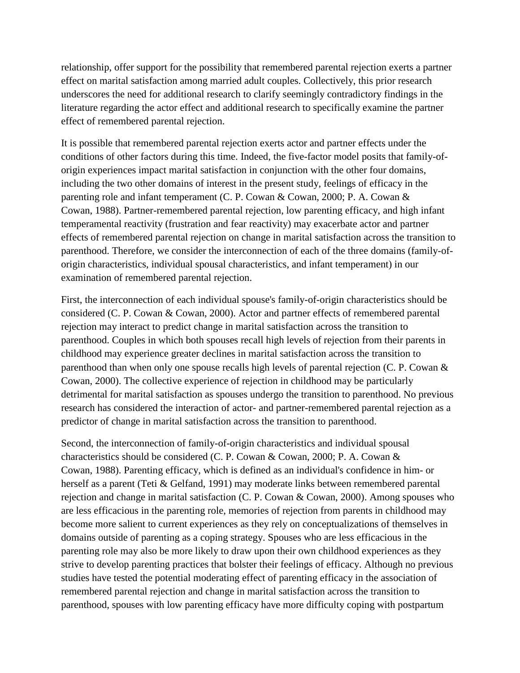relationship, offer support for the possibility that remembered parental rejection exerts a partner effect on marital satisfaction among married adult couples. Collectively, this prior research underscores the need for additional research to clarify seemingly contradictory findings in the literature regarding the actor effect and additional research to specifically examine the partner effect of remembered parental rejection.

It is possible that remembered parental rejection exerts actor and partner effects under the conditions of other factors during this time. Indeed, the five-factor model posits that family-oforigin experiences impact marital satisfaction in conjunction with the other four domains, including the two other domains of interest in the present study, feelings of efficacy in the parenting role and infant temperament (C. P. Cowan & Cowan, 2000; P. A. Cowan & Cowan, 1988). Partner-remembered parental rejection, low parenting efficacy, and high infant temperamental reactivity (frustration and fear reactivity) may exacerbate actor and partner effects of remembered parental rejection on change in marital satisfaction across the transition to parenthood. Therefore, we consider the interconnection of each of the three domains (family-oforigin characteristics, individual spousal characteristics, and infant temperament) in our examination of remembered parental rejection.

First, the interconnection of each individual spouse's family-of-origin characteristics should be considered (C. P. Cowan & Cowan, 2000). Actor and partner effects of remembered parental rejection may interact to predict change in marital satisfaction across the transition to parenthood. Couples in which both spouses recall high levels of rejection from their parents in childhood may experience greater declines in marital satisfaction across the transition to parenthood than when only one spouse recalls high levels of parental rejection (C. P. Cowan & Cowan, 2000). The collective experience of rejection in childhood may be particularly detrimental for marital satisfaction as spouses undergo the transition to parenthood. No previous research has considered the interaction of actor- and partner-remembered parental rejection as a predictor of change in marital satisfaction across the transition to parenthood.

Second, the interconnection of family-of-origin characteristics and individual spousal characteristics should be considered (C. P. Cowan & Cowan, 2000; P. A. Cowan & Cowan, 1988). Parenting efficacy, which is defined as an individual's confidence in him- or herself as a parent (Teti & Gelfand, 1991) may moderate links between remembered parental rejection and change in marital satisfaction (C. P. Cowan & Cowan, 2000). Among spouses who are less efficacious in the parenting role, memories of rejection from parents in childhood may become more salient to current experiences as they rely on conceptualizations of themselves in domains outside of parenting as a coping strategy. Spouses who are less efficacious in the parenting role may also be more likely to draw upon their own childhood experiences as they strive to develop parenting practices that bolster their feelings of efficacy. Although no previous studies have tested the potential moderating effect of parenting efficacy in the association of remembered parental rejection and change in marital satisfaction across the transition to parenthood, spouses with low parenting efficacy have more difficulty coping with postpartum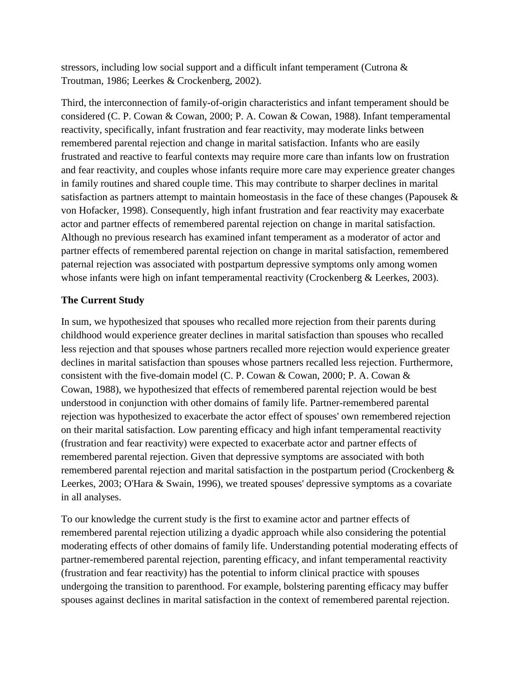stressors, including low social support and a difficult infant temperament (Cutrona & Troutman, 1986; Leerkes & Crockenberg, 2002).

Third, the interconnection of family-of-origin characteristics and infant temperament should be considered (C. P. Cowan & Cowan, 2000; P. A. Cowan & Cowan, 1988). Infant temperamental reactivity, specifically, infant frustration and fear reactivity, may moderate links between remembered parental rejection and change in marital satisfaction. Infants who are easily frustrated and reactive to fearful contexts may require more care than infants low on frustration and fear reactivity, and couples whose infants require more care may experience greater changes in family routines and shared couple time. This may contribute to sharper declines in marital satisfaction as partners attempt to maintain homeostasis in the face of these changes (Papousek & von Hofacker, 1998). Consequently, high infant frustration and fear reactivity may exacerbate actor and partner effects of remembered parental rejection on change in marital satisfaction. Although no previous research has examined infant temperament as a moderator of actor and partner effects of remembered parental rejection on change in marital satisfaction, remembered paternal rejection was associated with postpartum depressive symptoms only among women whose infants were high on infant temperamental reactivity (Crockenberg & Leerkes, 2003).

# **The Current Study**

In sum, we hypothesized that spouses who recalled more rejection from their parents during childhood would experience greater declines in marital satisfaction than spouses who recalled less rejection and that spouses whose partners recalled more rejection would experience greater declines in marital satisfaction than spouses whose partners recalled less rejection. Furthermore, consistent with the five-domain model (C. P. Cowan & Cowan, 2000; P. A. Cowan & Cowan, 1988), we hypothesized that effects of remembered parental rejection would be best understood in conjunction with other domains of family life. Partner-remembered parental rejection was hypothesized to exacerbate the actor effect of spouses' own remembered rejection on their marital satisfaction. Low parenting efficacy and high infant temperamental reactivity (frustration and fear reactivity) were expected to exacerbate actor and partner effects of remembered parental rejection. Given that depressive symptoms are associated with both remembered parental rejection and marital satisfaction in the postpartum period (Crockenberg & Leerkes, 2003; O'Hara & Swain, 1996), we treated spouses' depressive symptoms as a covariate in all analyses.

To our knowledge the current study is the first to examine actor and partner effects of remembered parental rejection utilizing a dyadic approach while also considering the potential moderating effects of other domains of family life. Understanding potential moderating effects of partner-remembered parental rejection, parenting efficacy, and infant temperamental reactivity (frustration and fear reactivity) has the potential to inform clinical practice with spouses undergoing the transition to parenthood. For example, bolstering parenting efficacy may buffer spouses against declines in marital satisfaction in the context of remembered parental rejection.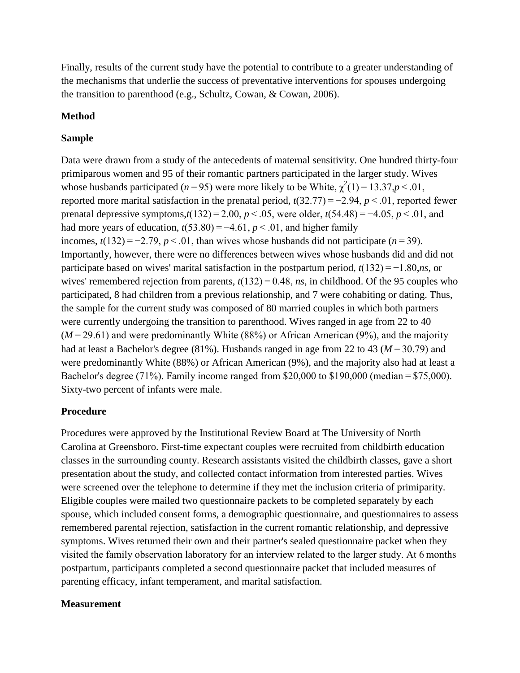Finally, results of the current study have the potential to contribute to a greater understanding of the mechanisms that underlie the success of preventative interventions for spouses undergoing the transition to parenthood (e.g., Schultz, Cowan, & Cowan, 2006).

### **Method**

### **Sample**

Data were drawn from a study of the antecedents of maternal sensitivity. One hundred thirty-four primiparous women and 95 of their romantic partners participated in the larger study. Wives whose husbands participated ( $n = 95$ ) were more likely to be White,  $\chi^2(1) = 13.37, p < 0.01$ , reported more marital satisfaction in the prenatal period,  $t(32.77) = -2.94$ ,  $p < .01$ , reported fewer prenatal depressive symptoms, $t(132) = 2.00$ ,  $p < .05$ , were older,  $t(54.48) = -4.05$ ,  $p < .01$ , and had more years of education,  $t(53.80) = -4.61$ ,  $p < .01$ , and higher family incomes,  $t(132) = -2.79$ ,  $p < .01$ , than wives whose husbands did not participate ( $n = 39$ ). Importantly, however, there were no differences between wives whose husbands did and did not participate based on wives' marital satisfaction in the postpartum period, *t*(132) = −1.80,*ns*, or wives' remembered rejection from parents,  $t(132) = 0.48$ , *ns*, in childhood. Of the 95 couples who participated, 8 had children from a previous relationship, and 7 were cohabiting or dating. Thus, the sample for the current study was composed of 80 married couples in which both partners were currently undergoing the transition to parenthood. Wives ranged in age from 22 to 40  $(M=29.61)$  and were predominantly White (88%) or African American (9%), and the majority had at least a Bachelor's degree (81%). Husbands ranged in age from 22 to 43 (*M* = 30.79) and were predominantly White (88%) or African American (9%), and the majority also had at least a Bachelor's degree (71%). Family income ranged from \$20,000 to \$190,000 (median = \$75,000). Sixty-two percent of infants were male.

# **Procedure**

Procedures were approved by the Institutional Review Board at The University of North Carolina at Greensboro. First-time expectant couples were recruited from childbirth education classes in the surrounding county. Research assistants visited the childbirth classes, gave a short presentation about the study, and collected contact information from interested parties. Wives were screened over the telephone to determine if they met the inclusion criteria of primiparity. Eligible couples were mailed two questionnaire packets to be completed separately by each spouse, which included consent forms, a demographic questionnaire, and questionnaires to assess remembered parental rejection, satisfaction in the current romantic relationship, and depressive symptoms. Wives returned their own and their partner's sealed questionnaire packet when they visited the family observation laboratory for an interview related to the larger study. At 6 months postpartum, participants completed a second questionnaire packet that included measures of parenting efficacy, infant temperament, and marital satisfaction.

#### **Measurement**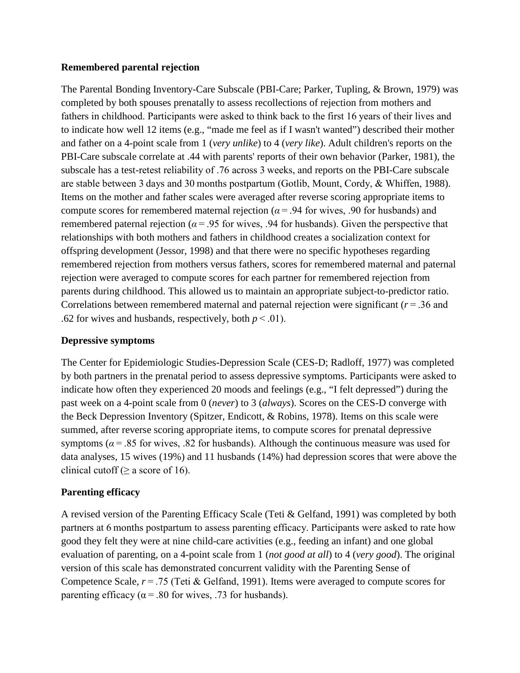### **Remembered parental rejection**

The Parental Bonding Inventory-Care Subscale (PBI-Care; Parker, Tupling, & Brown, 1979) was completed by both spouses prenatally to assess recollections of rejection from mothers and fathers in childhood. Participants were asked to think back to the first 16 years of their lives and to indicate how well 12 items (e.g., "made me feel as if I wasn't wanted") described their mother and father on a 4-point scale from 1 (*very unlike*) to 4 (*very like*). Adult children's reports on the PBI-Care subscale correlate at .44 with parents' reports of their own behavior (Parker, 1981), the subscale has a test-retest reliability of .76 across 3 weeks, and reports on the PBI-Care subscale are stable between 3 days and 30 months postpartum (Gotlib, Mount, Cordy, & Whiffen, 1988). Items on the mother and father scales were averaged after reverse scoring appropriate items to compute scores for remembered maternal rejection ( $\alpha$  = .94 for wives, .90 for husbands) and remembered paternal rejection ( $\alpha$  = .95 for wives, .94 for husbands). Given the perspective that relationships with both mothers and fathers in childhood creates a socialization context for offspring development (Jessor, 1998) and that there were no specific hypotheses regarding remembered rejection from mothers versus fathers, scores for remembered maternal and paternal rejection were averaged to compute scores for each partner for remembered rejection from parents during childhood. This allowed us to maintain an appropriate subject-to-predictor ratio. Correlations between remembered maternal and paternal rejection were significant (*r* = .36 and .62 for wives and husbands, respectively, both  $p < .01$ ).

# **Depressive symptoms**

The Center for Epidemiologic Studies-Depression Scale (CES-D; Radloff, 1977) was completed by both partners in the prenatal period to assess depressive symptoms. Participants were asked to indicate how often they experienced 20 moods and feelings (e.g., "I felt depressed") during the past week on a 4-point scale from 0 (*never*) to 3 (*always*). Scores on the CES-D converge with the Beck Depression Inventory (Spitzer, Endicott, & Robins, 1978). Items on this scale were summed, after reverse scoring appropriate items, to compute scores for prenatal depressive symptoms ( $\alpha$  = .85 for wives, .82 for husbands). Although the continuous measure was used for data analyses, 15 wives (19%) and 11 husbands (14%) had depression scores that were above the clinical cutoff ( $\geq$  a score of 16).

# **Parenting efficacy**

A revised version of the Parenting Efficacy Scale (Teti & Gelfand, 1991) was completed by both partners at 6 months postpartum to assess parenting efficacy. Participants were asked to rate how good they felt they were at nine child-care activities (e.g., feeding an infant) and one global evaluation of parenting, on a 4-point scale from 1 (*not good at all*) to 4 (*very good*). The original version of this scale has demonstrated concurrent validity with the Parenting Sense of Competence Scale, *r* = .75 (Teti & Gelfand, 1991). Items were averaged to compute scores for parenting efficacy ( $\alpha$  = .80 for wives, .73 for husbands).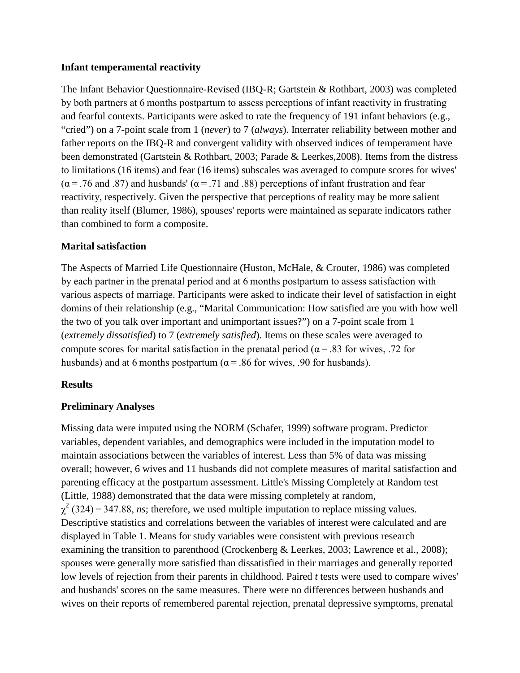#### **Infant temperamental reactivity**

The Infant Behavior Questionnaire-Revised (IBQ-R; Gartstein & Rothbart, 2003) was completed by both partners at 6 months postpartum to assess perceptions of infant reactivity in frustrating and fearful contexts. Participants were asked to rate the frequency of 191 infant behaviors (e.g., "cried") on a 7-point scale from 1 (*never*) to 7 (*always*). Interrater reliability between mother and father reports on the IBQ-R and convergent validity with observed indices of temperament have been demonstrated (Gartstein & Rothbart, 2003; Parade & Leerkes,2008). Items from the distress to limitations (16 items) and fear (16 items) subscales was averaged to compute scores for wives'  $(\alpha = .76$  and .87) and husbands' ( $\alpha = .71$  and .88) perceptions of infant frustration and fear reactivity, respectively. Given the perspective that perceptions of reality may be more salient than reality itself (Blumer, 1986), spouses' reports were maintained as separate indicators rather than combined to form a composite.

### **Marital satisfaction**

The Aspects of Married Life Questionnaire (Huston, McHale, & Crouter, 1986) was completed by each partner in the prenatal period and at 6 months postpartum to assess satisfaction with various aspects of marriage. Participants were asked to indicate their level of satisfaction in eight domins of their relationship (e.g., "Marital Communication: How satisfied are you with how well the two of you talk over important and unimportant issues?") on a 7-point scale from 1 (*extremely dissatisfied*) to 7 (*extremely satisfied*). Items on these scales were averaged to compute scores for marital satisfaction in the prenatal period ( $\alpha$  = .83 for wives, .72 for husbands) and at 6 months postpartum ( $\alpha$  = .86 for wives, .90 for husbands).

#### **Results**

# **Preliminary Analyses**

Missing data were imputed using the NORM (Schafer, 1999) software program. Predictor variables, dependent variables, and demographics were included in the imputation model to maintain associations between the variables of interest. Less than 5% of data was missing overall; however, 6 wives and 11 husbands did not complete measures of marital satisfaction and parenting efficacy at the postpartum assessment. Little's Missing Completely at Random test (Little, 1988) demonstrated that the data were missing completely at random,  $\chi^2$  (324) = 347.88, *ns*; therefore, we used multiple imputation to replace missing values. Descriptive statistics and correlations between the variables of interest were calculated and are displayed in Table 1. Means for study variables were consistent with previous research examining the transition to parenthood (Crockenberg & Leerkes, 2003; Lawrence et al., 2008); spouses were generally more satisfied than dissatisfied in their marriages and generally reported low levels of rejection from their parents in childhood. Paired *t* tests were used to compare wives' and husbands' scores on the same measures. There were no differences between husbands and wives on their reports of remembered parental rejection, prenatal depressive symptoms, prenatal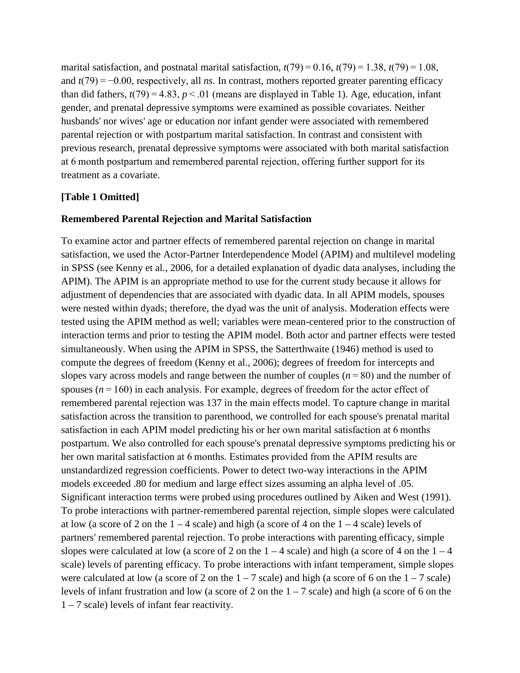marital satisfaction, and postnatal marital satisfaction,  $t(79) = 0.16$ ,  $t(79) = 1.38$ ,  $t(79) = 1.08$ , and *t*(79) = −0.00, respectively, all *ns*. In contrast, mothers reported greater parenting efficacy than did fathers,  $t(79) = 4.83$ ,  $p < .01$  (means are displayed in Table 1). Age, education, infant gender, and prenatal depressive symptoms were examined as possible covariates. Neither husbands' nor wives' age or education nor infant gender were associated with remembered parental rejection or with postpartum marital satisfaction. In contrast and consistent with previous research, prenatal depressive symptoms were associated with both marital satisfaction at 6 month postpartum and remembered parental rejection, offering further support for its treatment as a covariate.

# **[Table 1 Omitted]**

### **Remembered Parental Rejection and Marital Satisfaction**

To examine actor and partner effects of remembered parental rejection on change in marital satisfaction, we used the Actor-Partner Interdependence Model (APIM) and multilevel modeling in SPSS (see Kenny et al., 2006, for a detailed explanation of dyadic data analyses, including the APIM). The APIM is an appropriate method to use for the current study because it allows for adjustment of dependencies that are associated with dyadic data. In all APIM models, spouses were nested within dyads; therefore, the dyad was the unit of analysis. Moderation effects were tested using the APIM method as well; variables were mean-centered prior to the construction of interaction terms and prior to testing the APIM model. Both actor and partner effects were tested simultaneously. When using the APIM in SPSS, the Satterthwaite (1946) method is used to compute the degrees of freedom (Kenny et al., 2006); degrees of freedom for intercepts and slopes vary across models and range between the number of couples  $(n = 80)$  and the number of spouses  $(n = 160)$  in each analysis. For example, degrees of freedom for the actor effect of remembered parental rejection was 137 in the main effects model. To capture change in marital satisfaction across the transition to parenthood, we controlled for each spouse's prenatal marital satisfaction in each APIM model predicting his or her own marital satisfaction at 6 months postpartum. We also controlled for each spouse's prenatal depressive symptoms predicting his or her own marital satisfaction at 6 months. Estimates provided from the APIM results are unstandardized regression coefficients. Power to detect two-way interactions in the APIM models exceeded .80 for medium and large effect sizes assuming an alpha level of .05. Significant interaction terms were probed using procedures outlined by Aiken and West (1991). To probe interactions with partner-remembered parental rejection, simple slopes were calculated at low (a score of 2 on the  $1 - 4$  scale) and high (a score of 4 on the  $1 - 4$  scale) levels of partners' remembered parental rejection. To probe interactions with parenting efficacy, simple slopes were calculated at low (a score of 2 on the  $1 - 4$  scale) and high (a score of 4 on the  $1 - 4$ scale) levels of parenting efficacy. To probe interactions with infant temperament, simple slopes were calculated at low (a score of 2 on the  $1 - 7$  scale) and high (a score of 6 on the  $1 - 7$  scale) levels of infant frustration and low (a score of 2 on the  $1 - 7$  scale) and high (a score of 6 on the 1 – 7 scale) levels of infant fear reactivity.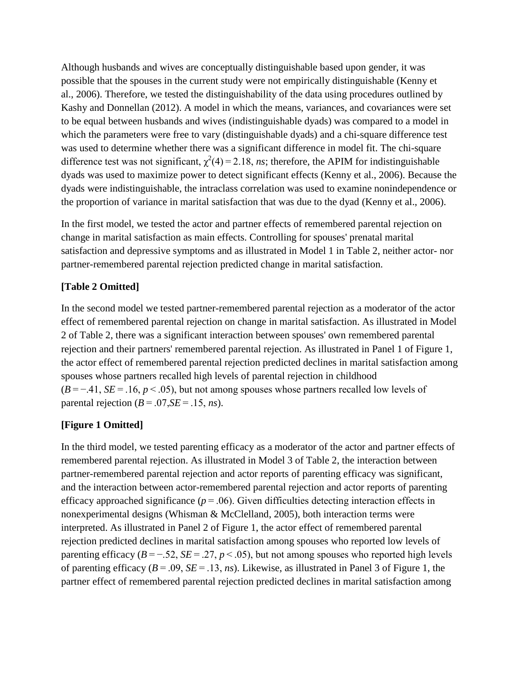Although husbands and wives are conceptually distinguishable based upon gender, it was possible that the spouses in the current study were not empirically distinguishable (Kenny et al., 2006). Therefore, we tested the distinguishability of the data using procedures outlined by Kashy and Donnellan (2012). A model in which the means, variances, and covariances were set to be equal between husbands and wives (indistinguishable dyads) was compared to a model in which the parameters were free to vary (distinguishable dyads) and a chi-square difference test was used to determine whether there was a significant difference in model fit. The chi-square difference test was not significant,  $\chi^2(4) = 2.18$ , *ns*; therefore, the APIM for indistinguishable dyads was used to maximize power to detect significant effects (Kenny et al., 2006). Because the dyads were indistinguishable, the intraclass correlation was used to examine nonindependence or the proportion of variance in marital satisfaction that was due to the dyad (Kenny et al., 2006).

In the first model, we tested the actor and partner effects of remembered parental rejection on change in marital satisfaction as main effects. Controlling for spouses' prenatal marital satisfaction and depressive symptoms and as illustrated in Model 1 in Table 2, neither actor- nor partner-remembered parental rejection predicted change in marital satisfaction.

# **[Table 2 Omitted]**

In the second model we tested partner-remembered parental rejection as a moderator of the actor effect of remembered parental rejection on change in marital satisfaction. As illustrated in Model 2 of Table 2, there was a significant interaction between spouses' own remembered parental rejection and their partners' remembered parental rejection. As illustrated in Panel 1 of Figure 1, the actor effect of remembered parental rejection predicted declines in marital satisfaction among spouses whose partners recalled high levels of parental rejection in childhood (*B* = −.41, *SE* = .16, *p* < .05), but not among spouses whose partners recalled low levels of parental rejection  $(B = .07, SE = .15, ns)$ .

# **[Figure 1 Omitted]**

In the third model, we tested parenting efficacy as a moderator of the actor and partner effects of remembered parental rejection. As illustrated in Model 3 of Table 2, the interaction between partner-remembered parental rejection and actor reports of parenting efficacy was significant, and the interaction between actor-remembered parental rejection and actor reports of parenting efficacy approached significance  $(p = .06)$ . Given difficulties detecting interaction effects in nonexperimental designs (Whisman & McClelland, 2005), both interaction terms were interpreted. As illustrated in Panel 2 of Figure 1, the actor effect of remembered parental rejection predicted declines in marital satisfaction among spouses who reported low levels of parenting efficacy ( $B = -0.52$ ,  $SE = 0.27$ ,  $p < 0.05$ ), but not among spouses who reported high levels of parenting efficacy  $(B = .09, SE = .13, ns)$ . Likewise, as illustrated in Panel 3 of Figure 1, the partner effect of remembered parental rejection predicted declines in marital satisfaction among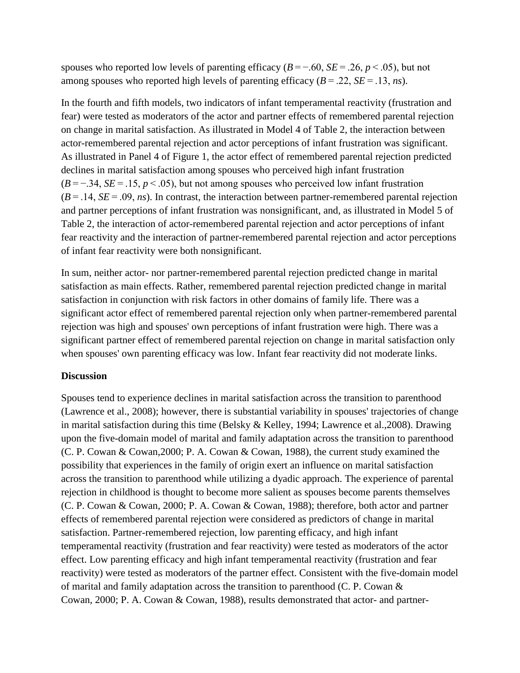spouses who reported low levels of parenting efficacy  $(B = -0.6, SE = 0.26, p < 0.05)$ , but not among spouses who reported high levels of parenting efficacy  $(B = .22, SE = .13, ns)$ .

In the fourth and fifth models, two indicators of infant temperamental reactivity (frustration and fear) were tested as moderators of the actor and partner effects of remembered parental rejection on change in marital satisfaction. As illustrated in Model 4 of Table 2, the interaction between actor-remembered parental rejection and actor perceptions of infant frustration was significant. As illustrated in Panel 4 of Figure 1, the actor effect of remembered parental rejection predicted declines in marital satisfaction among spouses who perceived high infant frustration (*B* = −.34, *SE* = .15, *p* < .05), but not among spouses who perceived low infant frustration  $(B = .14, SE = .09, ns)$ . In contrast, the interaction between partner-remembered parental rejection and partner perceptions of infant frustration was nonsignificant, and, as illustrated in Model 5 of Table 2, the interaction of actor-remembered parental rejection and actor perceptions of infant fear reactivity and the interaction of partner-remembered parental rejection and actor perceptions of infant fear reactivity were both nonsignificant.

In sum, neither actor- nor partner-remembered parental rejection predicted change in marital satisfaction as main effects. Rather, remembered parental rejection predicted change in marital satisfaction in conjunction with risk factors in other domains of family life. There was a significant actor effect of remembered parental rejection only when partner-remembered parental rejection was high and spouses' own perceptions of infant frustration were high. There was a significant partner effect of remembered parental rejection on change in marital satisfaction only when spouses' own parenting efficacy was low. Infant fear reactivity did not moderate links.

#### **Discussion**

Spouses tend to experience declines in marital satisfaction across the transition to parenthood (Lawrence et al., 2008); however, there is substantial variability in spouses' trajectories of change in marital satisfaction during this time (Belsky & Kelley, 1994; Lawrence et al.,2008). Drawing upon the five-domain model of marital and family adaptation across the transition to parenthood (C. P. Cowan & Cowan,2000; P. A. Cowan & Cowan, 1988), the current study examined the possibility that experiences in the family of origin exert an influence on marital satisfaction across the transition to parenthood while utilizing a dyadic approach. The experience of parental rejection in childhood is thought to become more salient as spouses become parents themselves (C. P. Cowan & Cowan, 2000; P. A. Cowan & Cowan, 1988); therefore, both actor and partner effects of remembered parental rejection were considered as predictors of change in marital satisfaction. Partner-remembered rejection, low parenting efficacy, and high infant temperamental reactivity (frustration and fear reactivity) were tested as moderators of the actor effect. Low parenting efficacy and high infant temperamental reactivity (frustration and fear reactivity) were tested as moderators of the partner effect. Consistent with the five-domain model of marital and family adaptation across the transition to parenthood (C. P. Cowan & Cowan, 2000; P. A. Cowan & Cowan, 1988), results demonstrated that actor- and partner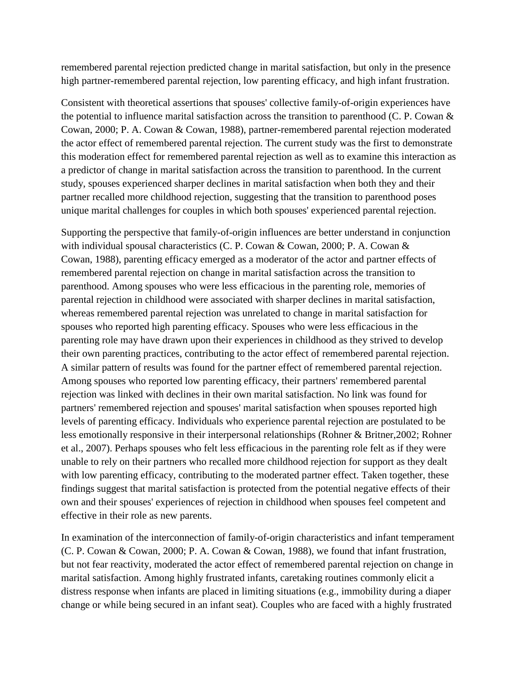remembered parental rejection predicted change in marital satisfaction, but only in the presence high partner-remembered parental rejection, low parenting efficacy, and high infant frustration.

Consistent with theoretical assertions that spouses' collective family-of-origin experiences have the potential to influence marital satisfaction across the transition to parenthood (C. P. Cowan  $\&$ Cowan, 2000; P. A. Cowan & Cowan, 1988), partner-remembered parental rejection moderated the actor effect of remembered parental rejection. The current study was the first to demonstrate this moderation effect for remembered parental rejection as well as to examine this interaction as a predictor of change in marital satisfaction across the transition to parenthood. In the current study, spouses experienced sharper declines in marital satisfaction when both they and their partner recalled more childhood rejection, suggesting that the transition to parenthood poses unique marital challenges for couples in which both spouses' experienced parental rejection.

Supporting the perspective that family-of-origin influences are better understand in conjunction with individual spousal characteristics (C. P. Cowan & Cowan, 2000; P. A. Cowan & Cowan, 1988), parenting efficacy emerged as a moderator of the actor and partner effects of remembered parental rejection on change in marital satisfaction across the transition to parenthood. Among spouses who were less efficacious in the parenting role, memories of parental rejection in childhood were associated with sharper declines in marital satisfaction, whereas remembered parental rejection was unrelated to change in marital satisfaction for spouses who reported high parenting efficacy. Spouses who were less efficacious in the parenting role may have drawn upon their experiences in childhood as they strived to develop their own parenting practices, contributing to the actor effect of remembered parental rejection. A similar pattern of results was found for the partner effect of remembered parental rejection. Among spouses who reported low parenting efficacy, their partners' remembered parental rejection was linked with declines in their own marital satisfaction. No link was found for partners' remembered rejection and spouses' marital satisfaction when spouses reported high levels of parenting efficacy. Individuals who experience parental rejection are postulated to be less emotionally responsive in their interpersonal relationships (Rohner & Britner,2002; Rohner et al., 2007). Perhaps spouses who felt less efficacious in the parenting role felt as if they were unable to rely on their partners who recalled more childhood rejection for support as they dealt with low parenting efficacy, contributing to the moderated partner effect. Taken together, these findings suggest that marital satisfaction is protected from the potential negative effects of their own and their spouses' experiences of rejection in childhood when spouses feel competent and effective in their role as new parents.

In examination of the interconnection of family-of-origin characteristics and infant temperament (C. P. Cowan & Cowan, 2000; P. A. Cowan & Cowan, 1988), we found that infant frustration, but not fear reactivity, moderated the actor effect of remembered parental rejection on change in marital satisfaction. Among highly frustrated infants, caretaking routines commonly elicit a distress response when infants are placed in limiting situations (e.g., immobility during a diaper change or while being secured in an infant seat). Couples who are faced with a highly frustrated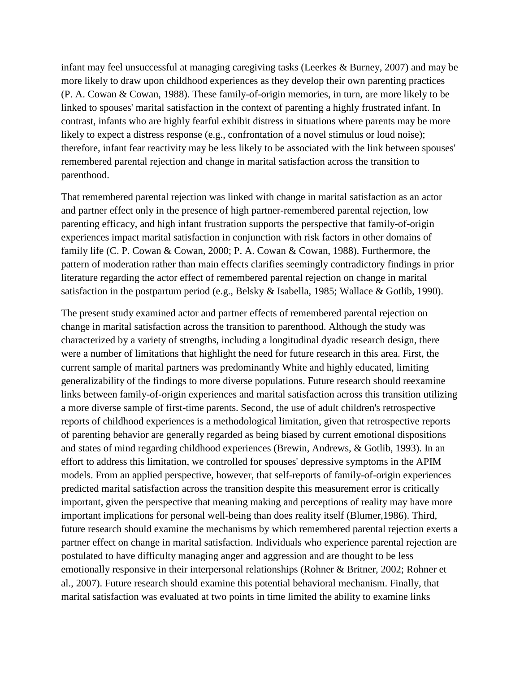infant may feel unsuccessful at managing caregiving tasks (Leerkes & Burney, 2007) and may be more likely to draw upon childhood experiences as they develop their own parenting practices (P. A. Cowan & Cowan, 1988). These family-of-origin memories, in turn, are more likely to be linked to spouses' marital satisfaction in the context of parenting a highly frustrated infant. In contrast, infants who are highly fearful exhibit distress in situations where parents may be more likely to expect a distress response (e.g., confrontation of a novel stimulus or loud noise); therefore, infant fear reactivity may be less likely to be associated with the link between spouses' remembered parental rejection and change in marital satisfaction across the transition to parenthood.

That remembered parental rejection was linked with change in marital satisfaction as an actor and partner effect only in the presence of high partner-remembered parental rejection, low parenting efficacy, and high infant frustration supports the perspective that family-of-origin experiences impact marital satisfaction in conjunction with risk factors in other domains of family life (C. P. Cowan & Cowan, 2000; P. A. Cowan & Cowan, 1988). Furthermore, the pattern of moderation rather than main effects clarifies seemingly contradictory findings in prior literature regarding the actor effect of remembered parental rejection on change in marital satisfaction in the postpartum period (e.g., Belsky & Isabella, 1985; Wallace & Gotlib, 1990).

The present study examined actor and partner effects of remembered parental rejection on change in marital satisfaction across the transition to parenthood. Although the study was characterized by a variety of strengths, including a longitudinal dyadic research design, there were a number of limitations that highlight the need for future research in this area. First, the current sample of marital partners was predominantly White and highly educated, limiting generalizability of the findings to more diverse populations. Future research should reexamine links between family-of-origin experiences and marital satisfaction across this transition utilizing a more diverse sample of first-time parents. Second, the use of adult children's retrospective reports of childhood experiences is a methodological limitation, given that retrospective reports of parenting behavior are generally regarded as being biased by current emotional dispositions and states of mind regarding childhood experiences (Brewin, Andrews, & Gotlib, 1993). In an effort to address this limitation, we controlled for spouses' depressive symptoms in the APIM models. From an applied perspective, however, that self-reports of family-of-origin experiences predicted marital satisfaction across the transition despite this measurement error is critically important, given the perspective that meaning making and perceptions of reality may have more important implications for personal well-being than does reality itself (Blumer,1986). Third, future research should examine the mechanisms by which remembered parental rejection exerts a partner effect on change in marital satisfaction. Individuals who experience parental rejection are postulated to have difficulty managing anger and aggression and are thought to be less emotionally responsive in their interpersonal relationships (Rohner & Britner, 2002; Rohner et al., 2007). Future research should examine this potential behavioral mechanism. Finally, that marital satisfaction was evaluated at two points in time limited the ability to examine links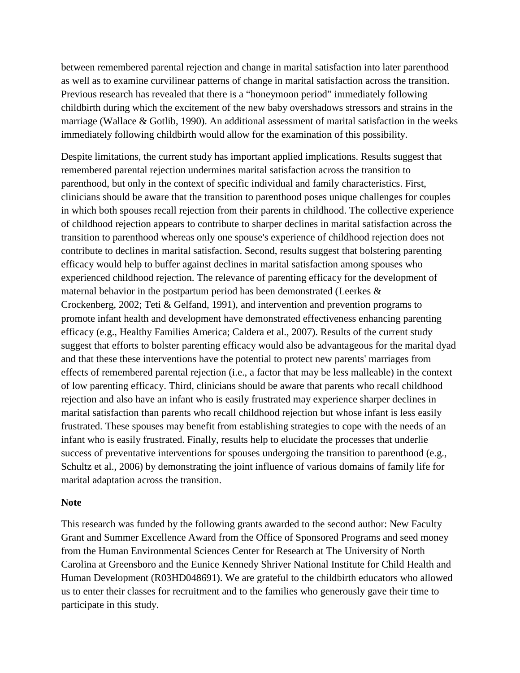between remembered parental rejection and change in marital satisfaction into later parenthood as well as to examine curvilinear patterns of change in marital satisfaction across the transition. Previous research has revealed that there is a "honeymoon period" immediately following childbirth during which the excitement of the new baby overshadows stressors and strains in the marriage (Wallace & Gotlib, 1990). An additional assessment of marital satisfaction in the weeks immediately following childbirth would allow for the examination of this possibility.

Despite limitations, the current study has important applied implications. Results suggest that remembered parental rejection undermines marital satisfaction across the transition to parenthood, but only in the context of specific individual and family characteristics. First, clinicians should be aware that the transition to parenthood poses unique challenges for couples in which both spouses recall rejection from their parents in childhood. The collective experience of childhood rejection appears to contribute to sharper declines in marital satisfaction across the transition to parenthood whereas only one spouse's experience of childhood rejection does not contribute to declines in marital satisfaction. Second, results suggest that bolstering parenting efficacy would help to buffer against declines in marital satisfaction among spouses who experienced childhood rejection. The relevance of parenting efficacy for the development of maternal behavior in the postpartum period has been demonstrated (Leerkes  $\&$ Crockenberg, 2002; Teti & Gelfand, 1991), and intervention and prevention programs to promote infant health and development have demonstrated effectiveness enhancing parenting efficacy (e.g., Healthy Families America; Caldera et al., 2007). Results of the current study suggest that efforts to bolster parenting efficacy would also be advantageous for the marital dyad and that these these interventions have the potential to protect new parents' marriages from effects of remembered parental rejection (i.e., a factor that may be less malleable) in the context of low parenting efficacy. Third, clinicians should be aware that parents who recall childhood rejection and also have an infant who is easily frustrated may experience sharper declines in marital satisfaction than parents who recall childhood rejection but whose infant is less easily frustrated. These spouses may benefit from establishing strategies to cope with the needs of an infant who is easily frustrated. Finally, results help to elucidate the processes that underlie success of preventative interventions for spouses undergoing the transition to parenthood (e.g., Schultz et al., 2006) by demonstrating the joint influence of various domains of family life for marital adaptation across the transition.

#### **Note**

This research was funded by the following grants awarded to the second author: New Faculty Grant and Summer Excellence Award from the Office of Sponsored Programs and seed money from the Human Environmental Sciences Center for Research at The University of North Carolina at Greensboro and the Eunice Kennedy Shriver National Institute for Child Health and Human Development (R03HD048691). We are grateful to the childbirth educators who allowed us to enter their classes for recruitment and to the families who generously gave their time to participate in this study.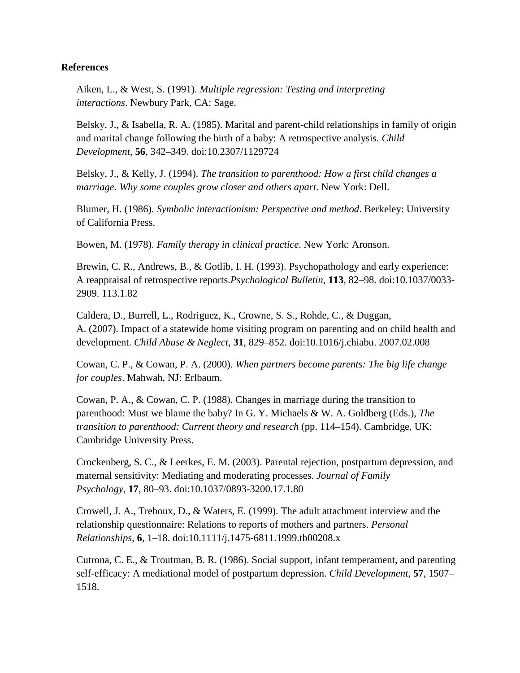#### **References**

Aiken, L., & West, S. (1991). *Multiple regression: Testing and interpreting interactions*. Newbury Park, CA: Sage.

Belsky, J., & Isabella, R. A. (1985). Marital and parent-child relationships in family of origin and marital change following the birth of a baby: A retrospective analysis. *Child Development*, **56**, 342–349. doi:10.2307/1129724

Belsky, J., & Kelly, J. (1994). *The transition to parenthood: How a first child changes a marriage. Why some couples grow closer and others apart*. New York: Dell.

Blumer, H. (1986). *Symbolic interactionism: Perspective and method*. Berkeley: University of California Press.

Bowen, M. (1978). *Family therapy in clinical practice*. New York: Aronson.

Brewin, C. R., Andrews, B., & Gotlib, I. H. (1993). Psychopathology and early experience: A reappraisal of retrospective reports.*Psychological Bulletin*, **113**, 82–98. doi:10.1037/0033- 2909. 113.1.82

Caldera, D., Burrell, L., Rodriguez, K., Crowne, S. S., Rohde, C., & Duggan, A. (2007). Impact of a statewide home visiting program on parenting and on child health and development. *Child Abuse & Neglect*, **31**, 829–852. doi:10.1016/j.chiabu. 2007.02.008

Cowan, C. P., & Cowan, P. A. (2000). *When partners become parents: The big life change for couples*. Mahwah, NJ: Erlbaum.

Cowan, P. A., & Cowan, C. P. (1988). Changes in marriage during the transition to parenthood: Must we blame the baby? In G. Y. Michaels & W. A. Goldberg (Eds.), *The transition to parenthood: Current theory and research* (pp. 114–154). Cambridge, UK: Cambridge University Press.

Crockenberg, S. C., & Leerkes, E. M. (2003). Parental rejection, postpartum depression, and maternal sensitivity: Mediating and moderating processes. *Journal of Family Psychology*, **17**, 80–93. doi:10.1037/0893-3200.17.1.80

Crowell, J. A., Treboux, D., & Waters, E. (1999). The adult attachment interview and the relationship questionnaire: Relations to reports of mothers and partners. *Personal Relationships*, **6**, 1–18. doi:10.1111/j.1475-6811.1999.tb00208.x

Cutrona, C. E., & Troutman, B. R. (1986). Social support, infant temperament, and parenting self-efficacy: A mediational model of postpartum depression. *Child Development*, **57**, 1507– 1518.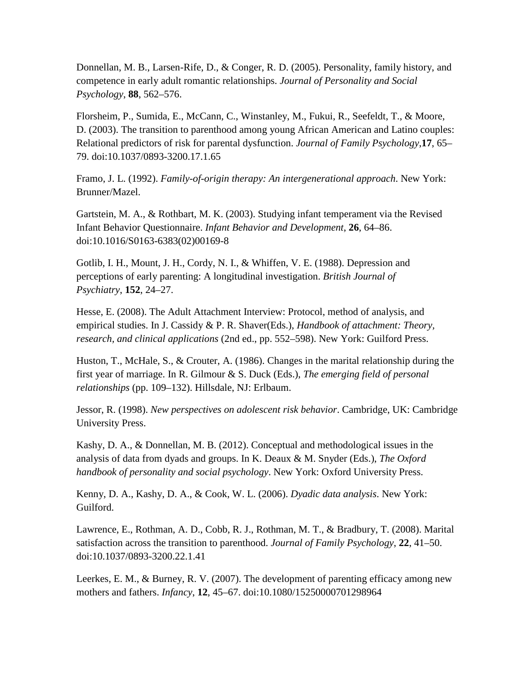Donnellan, M. B., Larsen-Rife, D., & Conger, R. D. (2005). Personality, family history, and competence in early adult romantic relationships. *Journal of Personality and Social Psychology*, **88**, 562–576.

Florsheim, P., Sumida, E., McCann, C., Winstanley, M., Fukui, R., Seefeldt, T., & Moore, D. (2003). The transition to parenthood among young African American and Latino couples: Relational predictors of risk for parental dysfunction. *Journal of Family Psychology*,**17**, 65– 79. doi:10.1037/0893-3200.17.1.65

Framo, J. L. (1992). *Family-of-origin therapy: An intergenerational approach*. New York: Brunner/Mazel.

Gartstein, M. A., & Rothbart, M. K. (2003). Studying infant temperament via the Revised Infant Behavior Questionnaire. *Infant Behavior and Development*, **26**, 64–86. doi:10.1016/S0163-6383(02)00169-8

Gotlib, I. H., Mount, J. H., Cordy, N. I., & Whiffen, V. E. (1988). Depression and perceptions of early parenting: A longitudinal investigation. *British Journal of Psychiatry*, **152**, 24–27.

Hesse, E. (2008). The Adult Attachment Interview: Protocol, method of analysis, and empirical studies. In J. Cassidy & P. R. Shaver(Eds.), *Handbook of attachment: Theory, research, and clinical applications* (2nd ed., pp. 552–598). New York: Guilford Press.

Huston, T., McHale, S., & Crouter, A. (1986). Changes in the marital relationship during the first year of marriage. In R. Gilmour & S. Duck (Eds.), *The emerging field of personal relationships* (pp. 109–132). Hillsdale, NJ: Erlbaum.

Jessor, R. (1998). *New perspectives on adolescent risk behavior*. Cambridge, UK: Cambridge University Press.

Kashy, D. A., & Donnellan, M. B. (2012). Conceptual and methodological issues in the analysis of data from dyads and groups. In K. Deaux & M. Snyder (Eds.), *The Oxford handbook of personality and social psychology*. New York: Oxford University Press.

Kenny, D. A., Kashy, D. A., & Cook, W. L. (2006). *Dyadic data analysis*. New York: Guilford.

Lawrence, E., Rothman, A. D., Cobb, R. J., Rothman, M. T., & Bradbury, T. (2008). Marital satisfaction across the transition to parenthood. *Journal of Family Psychology*, **22**, 41–50. doi:10.1037/0893-3200.22.1.41

Leerkes, E. M., & Burney, R. V. (2007). The development of parenting efficacy among new mothers and fathers. *Infancy*, **12**, 45–67. doi:10.1080/15250000701298964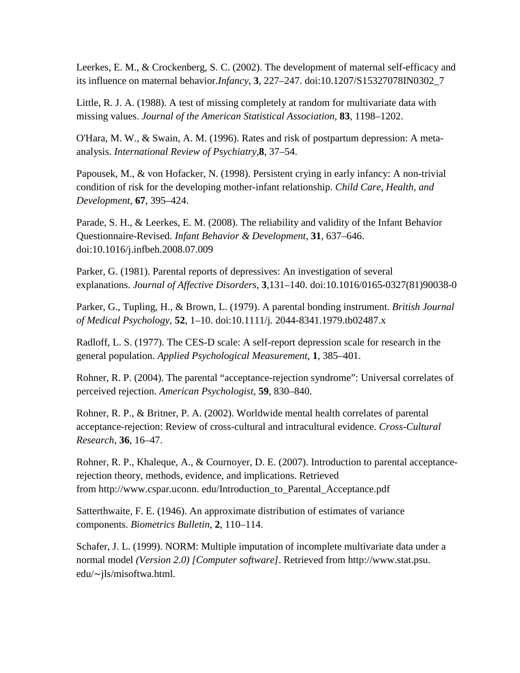Leerkes, E. M., & Crockenberg, S. C. (2002). The development of maternal self-efficacy and its influence on maternal behavior.*Infancy*, **3**, 227–247. doi:10.1207/S15327078IN0302\_7

Little, R. J. A. (1988). A test of missing completely at random for multivariate data with missing values. *Journal of the American Statistical Association*, **83**, 1198–1202.

O'Hara, M. W., & Swain, A. M. (1996). Rates and risk of postpartum depression: A metaanalysis. *International Review of Psychiatry*,**8**, 37–54.

Papousek, M., & von Hofacker, N. (1998). Persistent crying in early infancy: A non-trivial condition of risk for the developing mother-infant relationship. *Child Care, Health, and Development*, **67**, 395–424.

Parade, S. H., & Leerkes, E. M. (2008). The reliability and validity of the Infant Behavior Questionnaire-Revised. *Infant Behavior & Development*, **31**, 637–646. doi:10.1016/j.infbeh.2008.07.009

Parker, G. (1981). Parental reports of depressives: An investigation of several explanations. *Journal of Affective Disorders*, **3**,131–140. doi:10.1016/0165-0327(81)90038-0

Parker, G., Tupling, H., & Brown, L. (1979). A parental bonding instrument. *British Journal of Medical Psychology*, **52**, 1–10. doi:10.1111/j. 2044-8341.1979.tb02487.x

Radloff, L. S. (1977). The CES-D scale: A self-report depression scale for research in the general population. *Applied Psychological Measurement*, **1**, 385–401.

Rohner, R. P. (2004). The parental "acceptance-rejection syndrome": Universal correlates of perceived rejection. *American Psychologist*, **59**, 830–840.

Rohner, R. P., & Britner, P. A. (2002). Worldwide mental health correlates of parental acceptance-rejection: Review of cross-cultural and intracultural evidence. *Cross-Cultural Research*, **36**, 16–47.

Rohner, R. P., Khaleque, A., & Cournoyer, D. E. (2007). Introduction to parental acceptancerejection theory, methods, evidence, and implications. Retrieved from http://www.cspar.uconn. edu/Introduction\_to\_Parental\_Acceptance.pdf

Satterthwaite, F. E. (1946). An approximate distribution of estimates of variance components. *Biometrics Bulletin*, **2**, 110–114.

Schafer, J. L. (1999). NORM: Multiple imputation of incomplete multivariate data under a normal model *(Version 2.0) [Computer software]*. Retrieved from http://www.stat.psu. edu/∼jls/misoftwa.html.